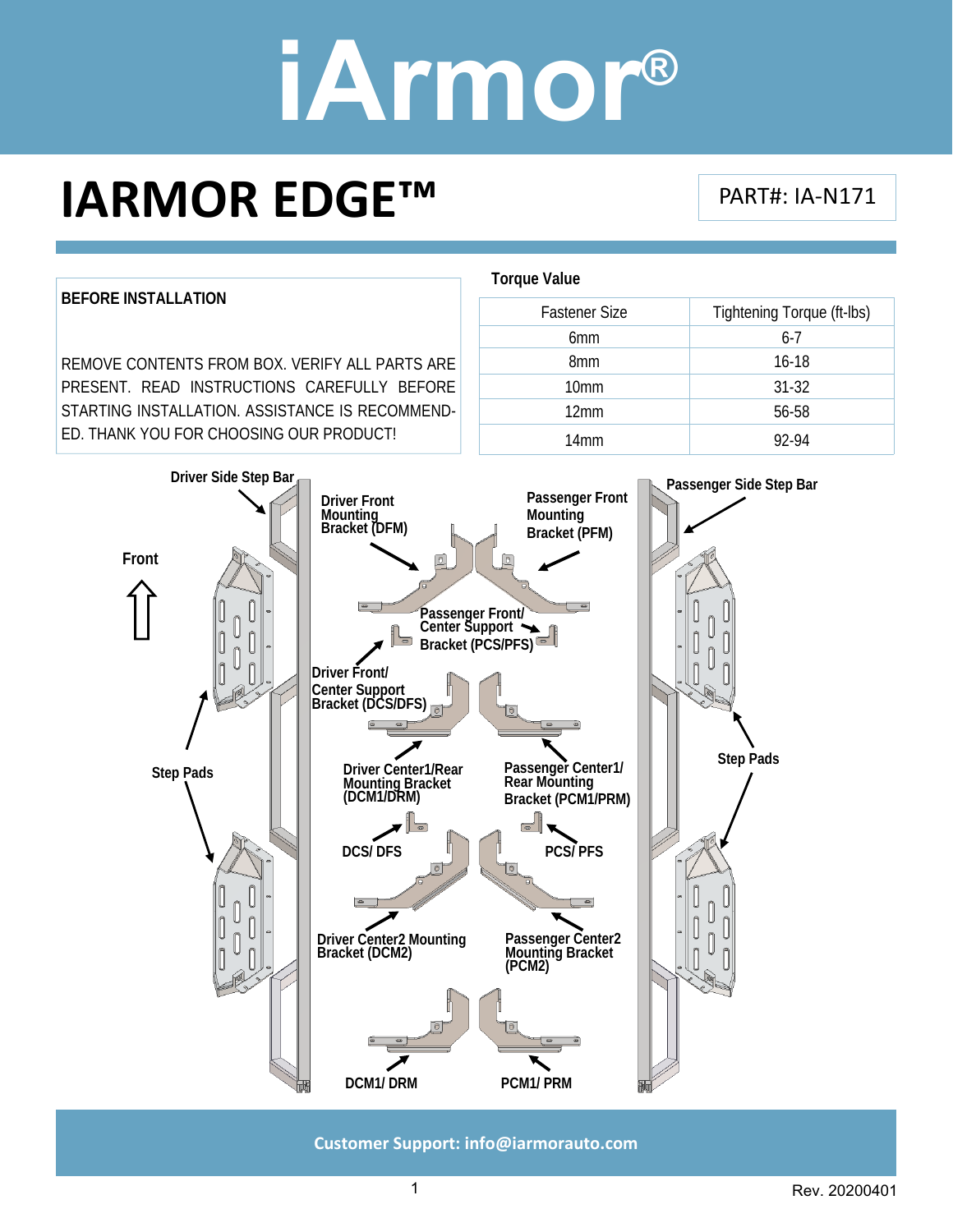### **IARMOR EDGE™**

PART#: IA‐N171



**Customer Support: info@iarmorauto.com** 

1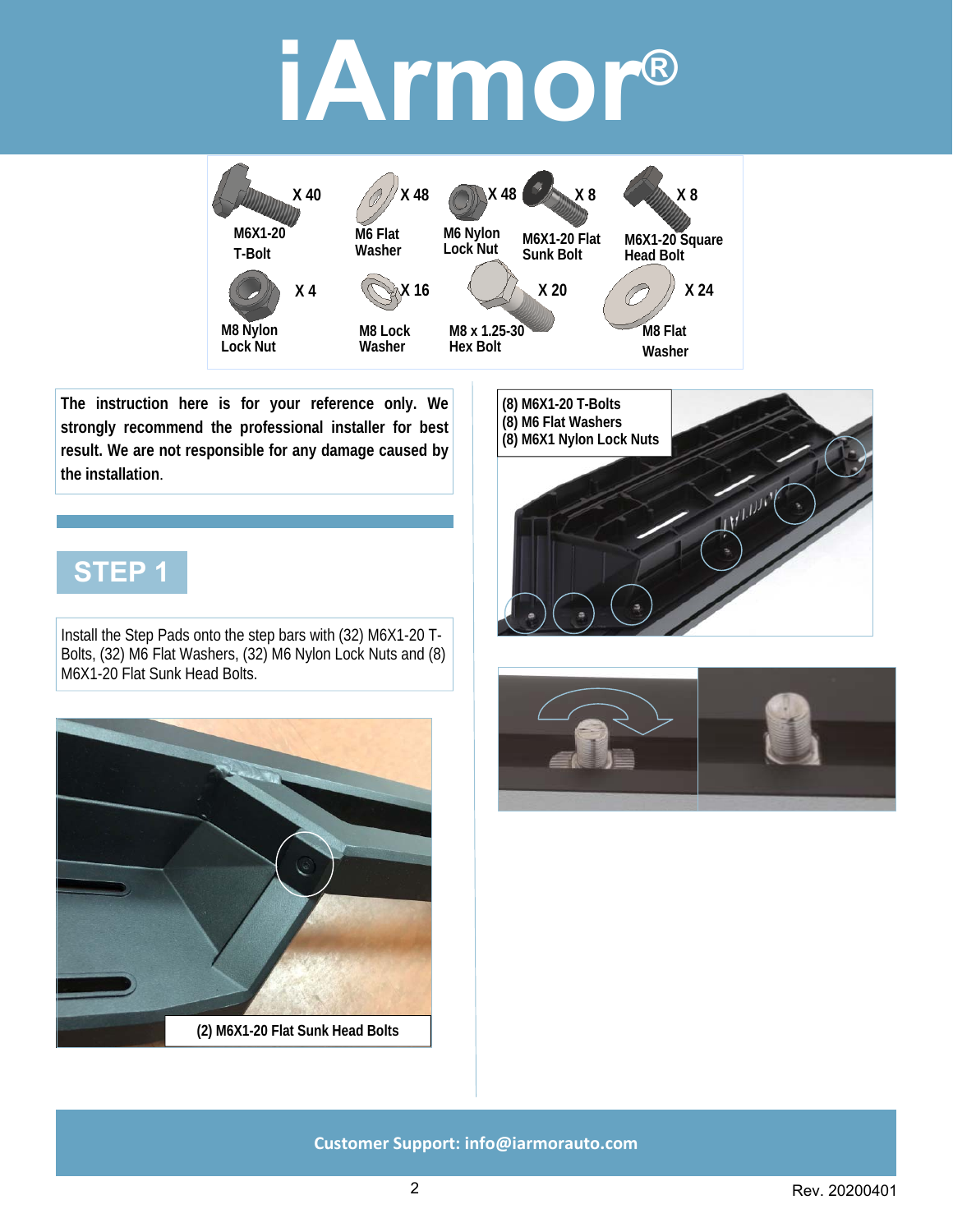

**The instruction here is for your reference only. We strongly recommend the professional installer for best result. We are not responsible for any damage caused by the installation**.

#### **STEP 1**

Install the Step Pads onto the step bars with (32) M6X1-20 T-Bolts, (32) M6 Flat Washers, (32) M6 Nylon Lock Nuts and (8) M6X1-20 Flat Sunk Head Bolts.





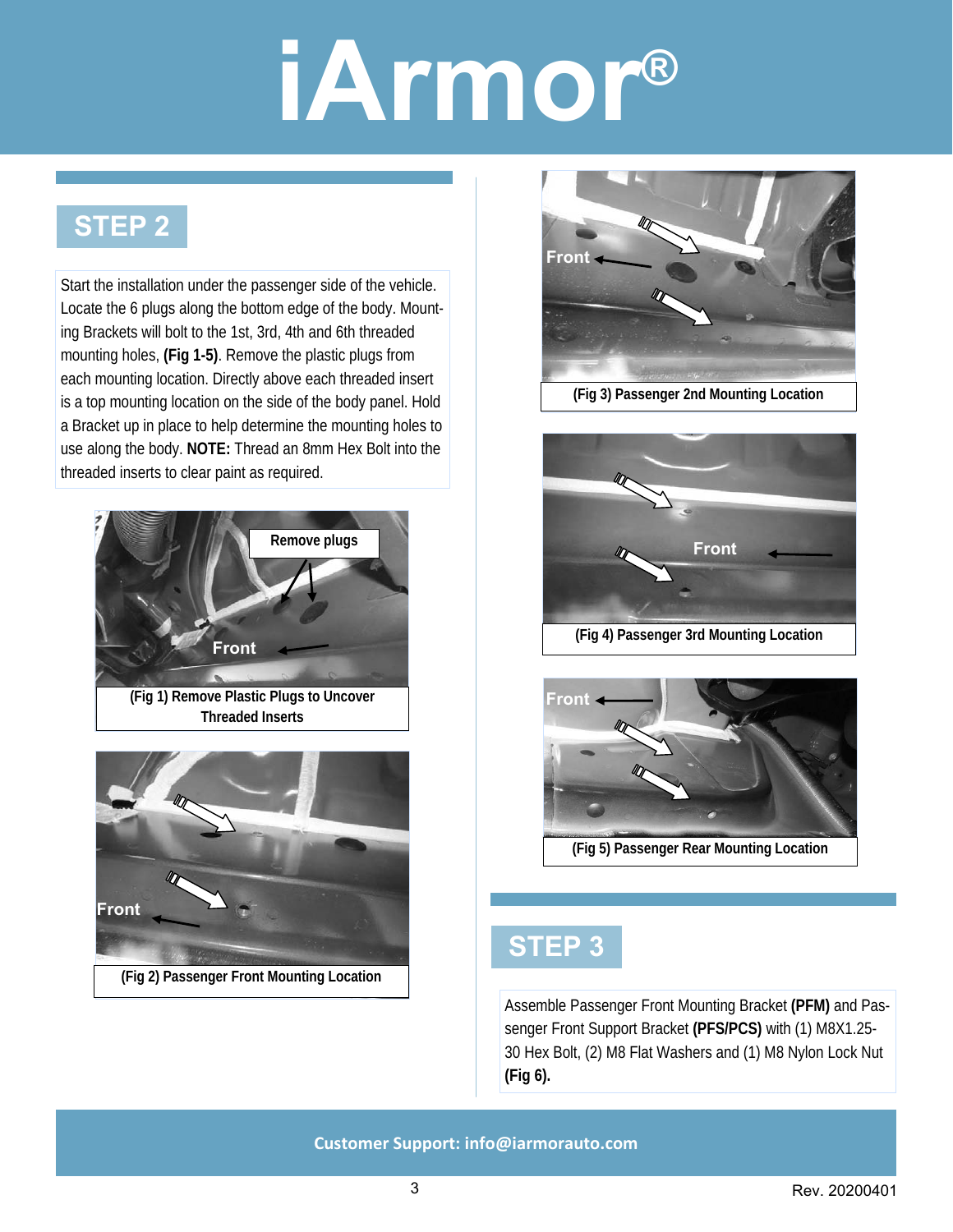#### **STEP 2**

Start the installation under the passenger side of the vehicle. Locate the 6 plugs along the bottom edge of the body. Mounting Brackets will bolt to the 1st, 3rd, 4th and 6th threaded mounting holes, **(Fig 1-5)**. Remove the plastic plugs from each mounting location. Directly above each threaded insert is a top mounting location on the side of the body panel. Hold a Bracket up in place to help determine the mounting holes to use along the body. **NOTE:** Thread an 8mm Hex Bolt into the threaded inserts to clear paint as required.





**(Fig 2) Passenger Front Mounting Location** 



**(Fig 3) Passenger 2nd Mounting Location** 





#### **STEP 3**

Assemble Passenger Front Mounting Bracket **(PFM)** and Passenger Front Support Bracket **(PFS/PCS)** with (1) M8X1.25- 30 Hex Bolt, (2) M8 Flat Washers and (1) M8 Nylon Lock Nut **(Fig 6).**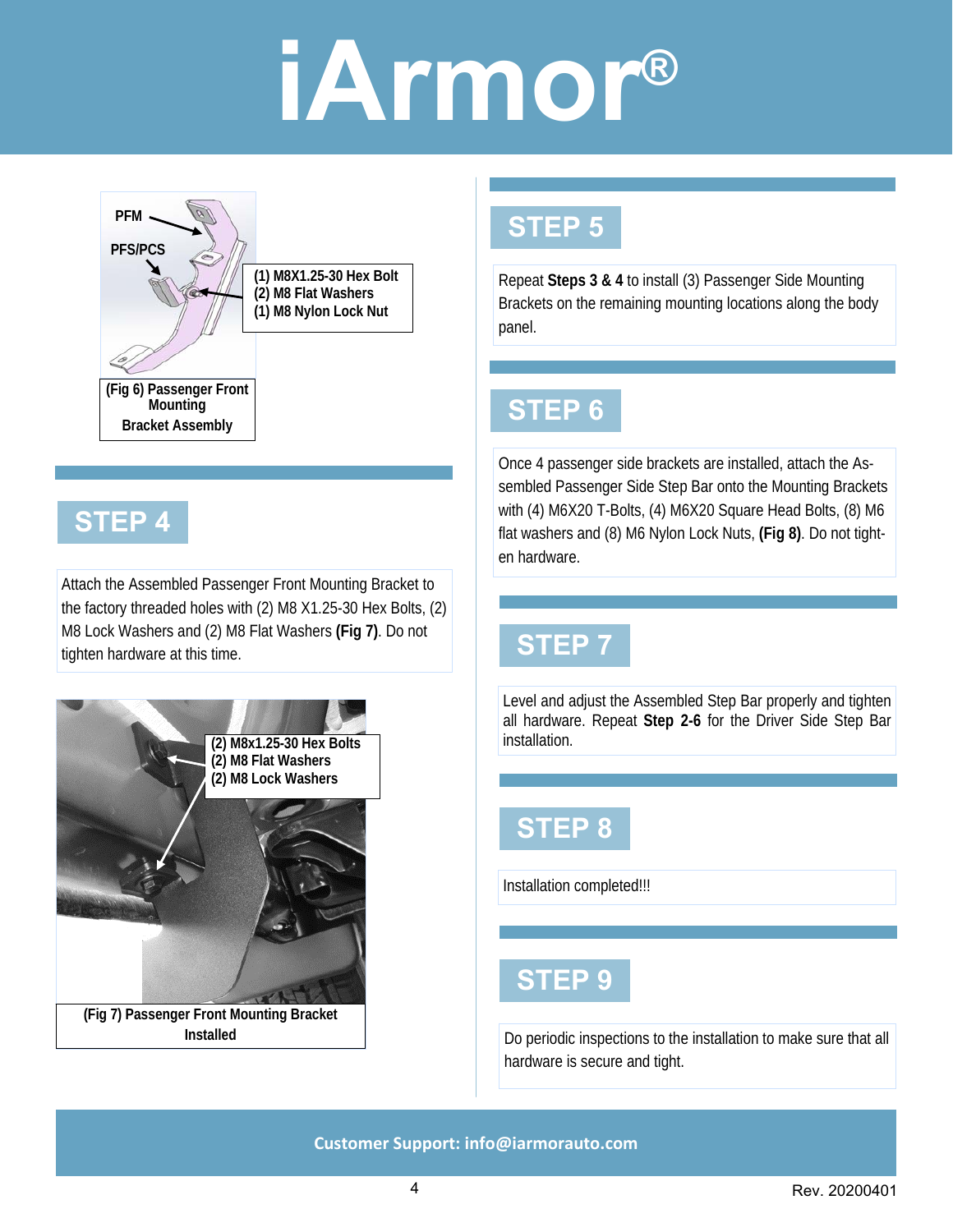

#### **STEP 4**

Attach the Assembled Passenger Front Mounting Bracket to the factory threaded holes with (2) M8 X1.25-30 Hex Bolts, (2) M8 Lock Washers and (2) M8 Flat Washers **(Fig 7)**. Do not tighten hardware at this time.



#### **STEP 5**

Repeat **Steps 3 & 4** to install (3) Passenger Side Mounting Brackets on the remaining mounting locations along the body panel.

#### **STEP 6**

Once 4 passenger side brackets are installed, attach the Assembled Passenger Side Step Bar onto the Mounting Brackets with (4) M6X20 T-Bolts, (4) M6X20 Square Head Bolts, (8) M6 flat washers and (8) M6 Nylon Lock Nuts, **(Fig 8)**. Do not tighten hardware.

### **STEP 7**

Level and adjust the Assembled Step Bar properly and tighten all hardware. Repeat **Step 2-6** for the Driver Side Step Bar installation.

### **STEP 8**

Installation completed!!!

#### **STEP 9**

Do periodic inspections to the installation to make sure that all hardware is secure and tight.